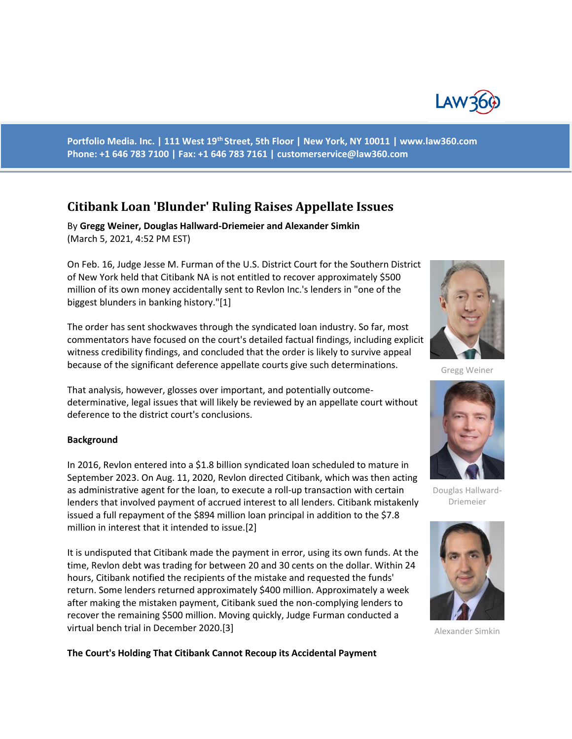

**Portfolio Media. Inc. | 111 West 19th Street, 5th Floor | New York, NY 10011 | www.law360.com Phone: +1 646 783 7100 | Fax: +1 646 783 7161 | customerservice@law360.com**

# **Citibank Loan 'Blunder' Ruling Raises Appellate Issues**

By **Gregg Weiner, Douglas Hallward-Driemeier and Alexander Simkin**  (March 5, 2021, 4:52 PM EST)

On Feb. 16, Judge Jesse M. Furman of the U.S. District Court for the Southern District of New York held that Citibank NA is not entitled to recover approximately \$500 million of its own money accidentally sent to Revlon Inc.'s lenders in "one of the biggest blunders in banking history."[1]

The order has sent shockwaves through the syndicated loan industry. So far, most commentators have focused on the court's detailed factual findings, including explicit witness credibility findings, and concluded that the order is likely to survive appeal because of the significant deference appellate courts give such determinations.

That analysis, however, glosses over important, and potentially outcomedeterminative, legal issues that will likely be reviewed by an appellate court without deference to the district court's conclusions.

#### **Background**

In 2016, Revlon entered into a \$1.8 billion syndicated loan scheduled to mature in September 2023. On Aug. 11, 2020, Revlon directed Citibank, which was then acting as administrative agent for the loan, to execute a roll-up transaction with certain lenders that involved payment of accrued interest to all lenders. Citibank mistakenly issued a full repayment of the \$894 million loan principal in addition to the \$7.8 million in interest that it intended to issue.[2]

It is undisputed that Citibank made the payment in error, using its own funds. At the time, Revlon debt was trading for between 20 and 30 cents on the dollar. Within 24 hours, Citibank notified the recipients of the mistake and requested the funds' return. Some lenders returned approximately \$400 million. Approximately a week after making the mistaken payment, Citibank sued the non-complying lenders to recover the remaining \$500 million. Moving quickly, Judge Furman conducted a virtual bench trial in December 2020.[3]



Gregg Weiner



Douglas Hallward-Driemeier



Alexander Simkin

**The Court's Holding That Citibank Cannot Recoup its Accidental Payment**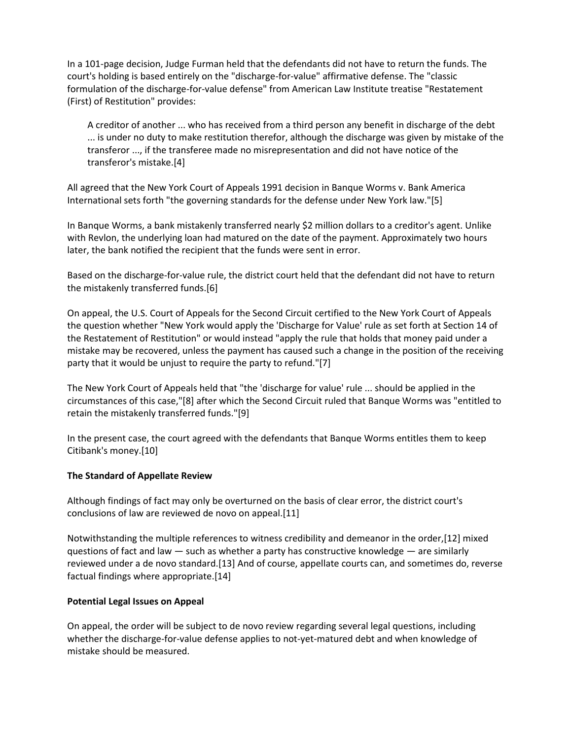In a 101-page decision, Judge Furman held that the defendants did not have to return the funds. The court's holding is based entirely on the "discharge-for-value" affirmative defense. The "classic formulation of the discharge-for-value defense" from American Law Institute treatise "Restatement (First) of Restitution" provides:

A creditor of another ... who has received from a third person any benefit in discharge of the debt ... is under no duty to make restitution therefor, although the discharge was given by mistake of the transferor ..., if the transferee made no misrepresentation and did not have notice of the transferor's mistake.[4]

All agreed that the New York Court of Appeals 1991 decision in Banque Worms v. Bank America International sets forth "the governing standards for the defense under New York law."[5]

In Banque Worms, a bank mistakenly transferred nearly \$2 million dollars to a creditor's agent. Unlike with Revlon, the underlying loan had matured on the date of the payment. Approximately two hours later, the bank notified the recipient that the funds were sent in error.

Based on the discharge-for-value rule, the district court held that the defendant did not have to return the mistakenly transferred funds.[6]

On appeal, the U.S. Court of Appeals for the Second Circuit certified to the New York Court of Appeals the question whether "New York would apply the 'Discharge for Value' rule as set forth at Section 14 of the Restatement of Restitution" or would instead "apply the rule that holds that money paid under a mistake may be recovered, unless the payment has caused such a change in the position of the receiving party that it would be unjust to require the party to refund."[7]

The New York Court of Appeals held that "the 'discharge for value' rule ... should be applied in the circumstances of this case,"[8] after which the Second Circuit ruled that Banque Worms was "entitled to retain the mistakenly transferred funds."[9]

In the present case, the court agreed with the defendants that Banque Worms entitles them to keep Citibank's money.[10]

### **The Standard of Appellate Review**

Although findings of fact may only be overturned on the basis of clear error, the district court's conclusions of law are reviewed de novo on appeal.[11]

Notwithstanding the multiple references to witness credibility and demeanor in the order,[12] mixed questions of fact and law  $-$  such as whether a party has constructive knowledge  $-$  are similarly reviewed under a de novo standard.[13] And of course, appellate courts can, and sometimes do, reverse factual findings where appropriate.[14]

### **Potential Legal Issues on Appeal**

On appeal, the order will be subject to de novo review regarding several legal questions, including whether the discharge-for-value defense applies to not-yet-matured debt and when knowledge of mistake should be measured.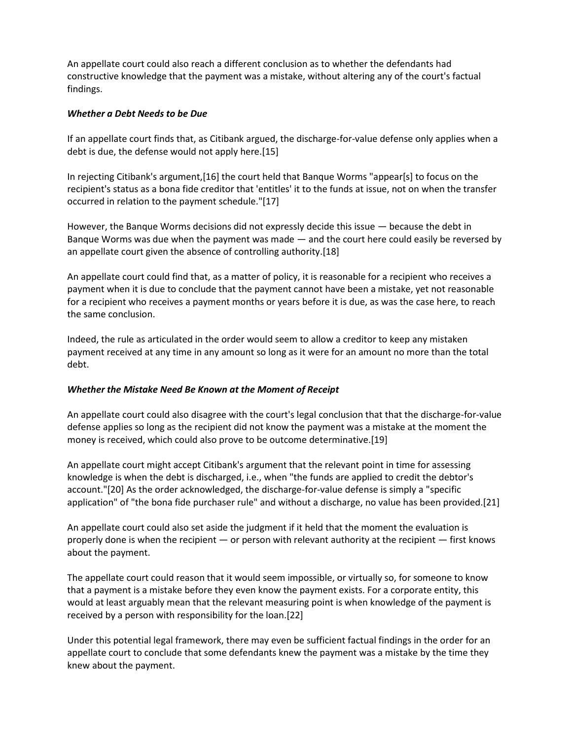An appellate court could also reach a different conclusion as to whether the defendants had constructive knowledge that the payment was a mistake, without altering any of the court's factual findings.

#### *Whether a Debt Needs to be Due*

If an appellate court finds that, as Citibank argued, the discharge-for-value defense only applies when a debt is due, the defense would not apply here.[15]

In rejecting Citibank's argument,[16] the court held that Banque Worms "appear[s] to focus on the recipient's status as a bona fide creditor that 'entitles' it to the funds at issue, not on when the transfer occurred in relation to the payment schedule."[17]

However, the Banque Worms decisions did not expressly decide this issue — because the debt in Banque Worms was due when the payment was made — and the court here could easily be reversed by an appellate court given the absence of controlling authority.[18]

An appellate court could find that, as a matter of policy, it is reasonable for a recipient who receives a payment when it is due to conclude that the payment cannot have been a mistake, yet not reasonable for a recipient who receives a payment months or years before it is due, as was the case here, to reach the same conclusion.

Indeed, the rule as articulated in the order would seem to allow a creditor to keep any mistaken payment received at any time in any amount so long as it were for an amount no more than the total debt.

### *Whether the Mistake Need Be Known at the Moment of Receipt*

An appellate court could also disagree with the court's legal conclusion that that the discharge-for-value defense applies so long as the recipient did not know the payment was a mistake at the moment the money is received, which could also prove to be outcome determinative.[19]

An appellate court might accept Citibank's argument that the relevant point in time for assessing knowledge is when the debt is discharged, i.e., when "the funds are applied to credit the debtor's account."[20] As the order acknowledged, the discharge-for-value defense is simply a "specific application" of "the bona fide purchaser rule" and without a discharge, no value has been provided.[21]

An appellate court could also set aside the judgment if it held that the moment the evaluation is properly done is when the recipient — or person with relevant authority at the recipient — first knows about the payment.

The appellate court could reason that it would seem impossible, or virtually so, for someone to know that a payment is a mistake before they even know the payment exists. For a corporate entity, this would at least arguably mean that the relevant measuring point is when knowledge of the payment is received by a person with responsibility for the loan.[22]

Under this potential legal framework, there may even be sufficient factual findings in the order for an appellate court to conclude that some defendants knew the payment was a mistake by the time they knew about the payment.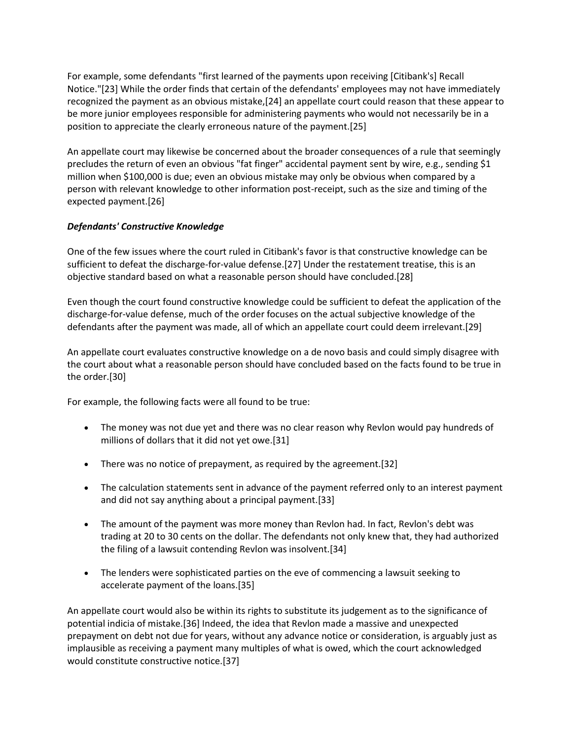For example, some defendants "first learned of the payments upon receiving [Citibank's] Recall Notice."[23] While the order finds that certain of the defendants' employees may not have immediately recognized the payment as an obvious mistake,[24] an appellate court could reason that these appear to be more junior employees responsible for administering payments who would not necessarily be in a position to appreciate the clearly erroneous nature of the payment.[25]

An appellate court may likewise be concerned about the broader consequences of a rule that seemingly precludes the return of even an obvious "fat finger" accidental payment sent by wire, e.g., sending \$1 million when \$100,000 is due; even an obvious mistake may only be obvious when compared by a person with relevant knowledge to other information post-receipt, such as the size and timing of the expected payment.[26]

## *Defendants' Constructive Knowledge*

One of the few issues where the court ruled in Citibank's favor is that constructive knowledge can be sufficient to defeat the discharge-for-value defense.[27] Under the restatement treatise, this is an objective standard based on what a reasonable person should have concluded.[28]

Even though the court found constructive knowledge could be sufficient to defeat the application of the discharge-for-value defense, much of the order focuses on the actual subjective knowledge of the defendants after the payment was made, all of which an appellate court could deem irrelevant.[29]

An appellate court evaluates constructive knowledge on a de novo basis and could simply disagree with the court about what a reasonable person should have concluded based on the facts found to be true in the order.[30]

For example, the following facts were all found to be true:

- The money was not due yet and there was no clear reason why Revlon would pay hundreds of millions of dollars that it did not yet owe.[31]
- There was no notice of prepayment, as required by the agreement.[32]
- The calculation statements sent in advance of the payment referred only to an interest payment and did not say anything about a principal payment.[33]
- The amount of the payment was more money than Revlon had. In fact, Revlon's debt was trading at 20 to 30 cents on the dollar. The defendants not only knew that, they had authorized the filing of a lawsuit contending Revlon was insolvent.[34]
- The lenders were sophisticated parties on the eve of commencing a lawsuit seeking to accelerate payment of the loans.[35]

An appellate court would also be within its rights to substitute its judgement as to the significance of potential indicia of mistake.[36] Indeed, the idea that Revlon made a massive and unexpected prepayment on debt not due for years, without any advance notice or consideration, is arguably just as implausible as receiving a payment many multiples of what is owed, which the court acknowledged would constitute constructive notice.[37]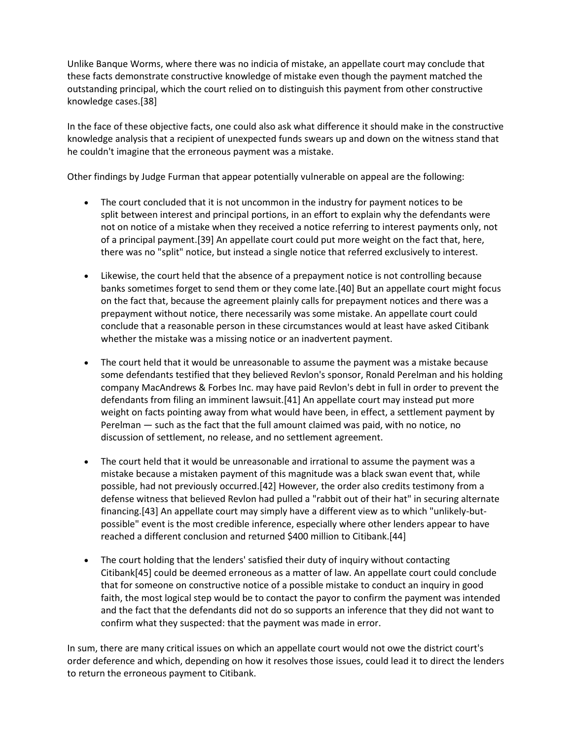Unlike Banque Worms, where there was no indicia of mistake, an appellate court may conclude that these facts demonstrate constructive knowledge of mistake even though the payment matched the outstanding principal, which the court relied on to distinguish this payment from other constructive knowledge cases.[38]

In the face of these objective facts, one could also ask what difference it should make in the constructive knowledge analysis that a recipient of unexpected funds swears up and down on the witness stand that he couldn't imagine that the erroneous payment was a mistake.

Other findings by Judge Furman that appear potentially vulnerable on appeal are the following:

- The court concluded that it is not uncommon in the industry for payment notices to be split between interest and principal portions, in an effort to explain why the defendants were not on notice of a mistake when they received a notice referring to interest payments only, not of a principal payment.[39] An appellate court could put more weight on the fact that, here, there was no "split" notice, but instead a single notice that referred exclusively to interest.
- Likewise, the court held that the absence of a prepayment notice is not controlling because banks sometimes forget to send them or they come late.[40] But an appellate court might focus on the fact that, because the agreement plainly calls for prepayment notices and there was a prepayment without notice, there necessarily was some mistake. An appellate court could conclude that a reasonable person in these circumstances would at least have asked Citibank whether the mistake was a missing notice or an inadvertent payment.
- The court held that it would be unreasonable to assume the payment was a mistake because some defendants testified that they believed Revlon's sponsor, Ronald Perelman and his holding company MacAndrews & Forbes Inc. may have paid Revlon's debt in full in order to prevent the defendants from filing an imminent lawsuit.[41] An appellate court may instead put more weight on facts pointing away from what would have been, in effect, a settlement payment by Perelman — such as the fact that the full amount claimed was paid, with no notice, no discussion of settlement, no release, and no settlement agreement.
- The court held that it would be unreasonable and irrational to assume the payment was a mistake because a mistaken payment of this magnitude was a black swan event that, while possible, had not previously occurred.[42] However, the order also credits testimony from a defense witness that believed Revlon had pulled a "rabbit out of their hat" in securing alternate financing.[43] An appellate court may simply have a different view as to which "unlikely-butpossible" event is the most credible inference, especially where other lenders appear to have reached a different conclusion and returned \$400 million to Citibank.[44]
- The court holding that the lenders' satisfied their duty of inquiry without contacting Citibank[45] could be deemed erroneous as a matter of law. An appellate court could conclude that for someone on constructive notice of a possible mistake to conduct an inquiry in good faith, the most logical step would be to contact the payor to confirm the payment was intended and the fact that the defendants did not do so supports an inference that they did not want to confirm what they suspected: that the payment was made in error.

In sum, there are many critical issues on which an appellate court would not owe the district court's order deference and which, depending on how it resolves those issues, could lead it to direct the lenders to return the erroneous payment to Citibank.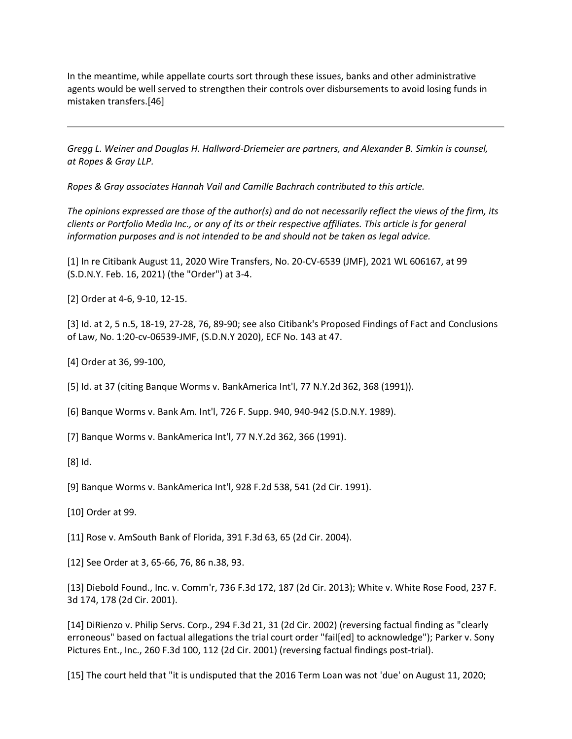In the meantime, while appellate courts sort through these issues, banks and other administrative agents would be well served to strengthen their controls over disbursements to avoid losing funds in mistaken transfers.[46]

*Gregg L. Weiner and Douglas H. Hallward-Driemeier are partners, and Alexander B. Simkin is counsel, at Ropes & Gray LLP.*

*Ropes & Gray associates Hannah Vail and Camille Bachrach contributed to this article.*

*The opinions expressed are those of the author(s) and do not necessarily reflect the views of the firm, its clients or Portfolio Media Inc., or any of its or their respective affiliates. This article is for general information purposes and is not intended to be and should not be taken as legal advice.*

[1] In re Citibank August 11, 2020 Wire Transfers, No. 20-CV-6539 (JMF), 2021 WL 606167, at 99 (S.D.N.Y. Feb. 16, 2021) (the "Order") at 3-4.

[2] Order at 4-6, 9-10, 12-15.

[3] Id. at 2, 5 n.5, 18-19, 27-28, 76, 89-90; see also Citibank's Proposed Findings of Fact and Conclusions of Law, No. 1:20-cv-06539-JMF, (S.D.N.Y 2020), ECF No. 143 at 47.

[4] Order at 36, 99-100,

[5] Id. at 37 (citing Banque Worms v. BankAmerica Int'l, 77 N.Y.2d 362, 368 (1991)).

[6] Banque Worms v. Bank Am. Int'l, 726 F. Supp. 940, 940-942 (S.D.N.Y. 1989).

[7] Banque Worms v. BankAmerica Int'l, 77 N.Y.2d 362, 366 (1991).

[8] Id.

[9] Banque Worms v. BankAmerica Int'l, 928 F.2d 538, 541 (2d Cir. 1991).

[10] Order at 99.

[11] Rose v. AmSouth Bank of Florida, 391 F.3d 63, 65 (2d Cir. 2004).

[12] See Order at 3, 65-66, 76, 86 n.38, 93.

[13] Diebold Found., Inc. v. Comm'r, 736 F.3d 172, 187 (2d Cir. 2013); White v. White Rose Food, 237 F. 3d 174, 178 (2d Cir. 2001).

[14] DiRienzo v. Philip Servs. Corp., 294 F.3d 21, 31 (2d Cir. 2002) (reversing factual finding as "clearly erroneous" based on factual allegations the trial court order "fail[ed] to acknowledge"); Parker v. Sony Pictures Ent., Inc., 260 F.3d 100, 112 (2d Cir. 2001) (reversing factual findings post-trial).

[15] The court held that "it is undisputed that the 2016 Term Loan was not 'due' on August 11, 2020;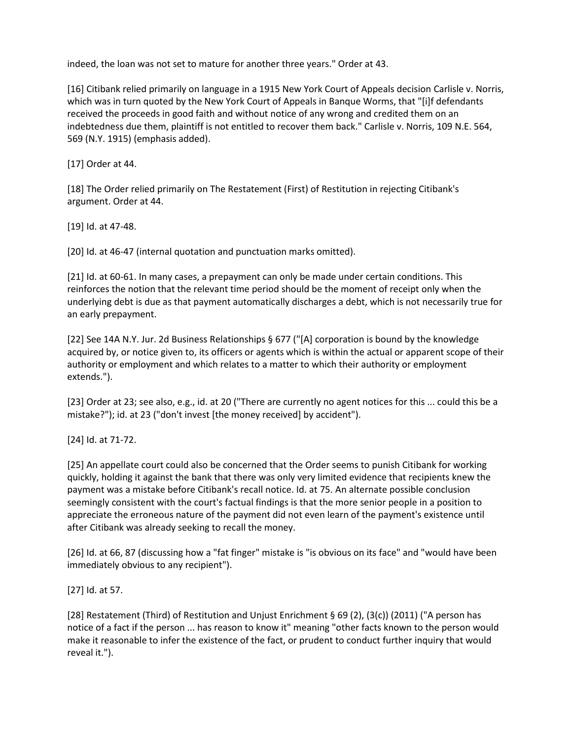indeed, the loan was not set to mature for another three years." Order at 43.

[16] Citibank relied primarily on language in a 1915 New York Court of Appeals decision Carlisle v. Norris, which was in turn quoted by the New York Court of Appeals in Banque Worms, that "[i]f defendants received the proceeds in good faith and without notice of any wrong and credited them on an indebtedness due them, plaintiff is not entitled to recover them back." Carlisle v. Norris, 109 N.E. 564, 569 (N.Y. 1915) (emphasis added).

[17] Order at 44.

[18] The Order relied primarily on The Restatement (First) of Restitution in rejecting Citibank's argument. Order at 44.

[19] Id. at 47-48.

[20] Id. at 46-47 (internal quotation and punctuation marks omitted).

[21] Id. at 60-61. In many cases, a prepayment can only be made under certain conditions. This reinforces the notion that the relevant time period should be the moment of receipt only when the underlying debt is due as that payment automatically discharges a debt, which is not necessarily true for an early prepayment.

[22] See 14A N.Y. Jur. 2d Business Relationships § 677 ("[A] corporation is bound by the knowledge acquired by, or notice given to, its officers or agents which is within the actual or apparent scope of their authority or employment and which relates to a matter to which their authority or employment extends.").

[23] Order at 23; see also, e.g., id. at 20 ("There are currently no agent notices for this ... could this be a mistake?"); id. at 23 ("don't invest [the money received] by accident").

[24] Id. at 71-72.

[25] An appellate court could also be concerned that the Order seems to punish Citibank for working quickly, holding it against the bank that there was only very limited evidence that recipients knew the payment was a mistake before Citibank's recall notice. Id. at 75. An alternate possible conclusion seemingly consistent with the court's factual findings is that the more senior people in a position to appreciate the erroneous nature of the payment did not even learn of the payment's existence until after Citibank was already seeking to recall the money.

[26] Id. at 66, 87 (discussing how a "fat finger" mistake is "is obvious on its face" and "would have been immediately obvious to any recipient").

[27] Id. at 57.

[28] Restatement (Third) of Restitution and Unjust Enrichment § 69 (2), (3(c)) (2011) ("A person has notice of a fact if the person ... has reason to know it" meaning "other facts known to the person would make it reasonable to infer the existence of the fact, or prudent to conduct further inquiry that would reveal it.").